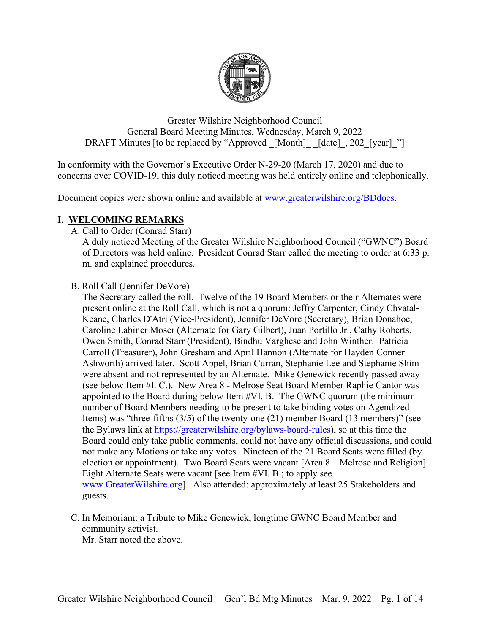

Greater Wilshire Neighborhood Council General Board Meeting Minutes, Wednesday, March 9, 2022 DRAFT Minutes [to be replaced by "Approved [Month] [date], 202 [year] "]

In conformity with the Governor's Executive Order N-29-20 (March 17, 2020) and due to concerns over COVID-19, this duly noticed meeting was held entirely online and telephonically.

Document copies were shown online and available at [www.greaterwilshire.org/BDdocs.](http://www.greaterwilshire.org/BDdocs)

### **I. WELCOMING REMARKS**

A. Call to Order (Conrad Starr)

A duly noticed Meeting of the Greater Wilshire Neighborhood Council ("GWNC") Board of Directors was held online. President Conrad Starr called the meeting to order at 6:33 p. m. and explained procedures.

#### B. Roll Call (Jennifer DeVore)

The Secretary called the roll. Twelve of the 19 Board Members or their Alternates were present online at the Roll Call, which is not a quorum: Jeffry Carpenter, Cindy Chvatal-Keane, Charles D'Atri (Vice-President), Jennifer DeVore (Secretary), Brian Donahoe, Caroline Labiner Moser (Alternate for Gary Gilbert), Juan Portillo Jr., Cathy Roberts, Owen Smith, Conrad Starr (President), Bindhu Varghese and John Winther. Patricia Carroll (Treasurer), John Gresham and April Hannon (Alternate for Hayden Conner Ashworth) arrived later. Scott Appel, Brian Curran, Stephanie Lee and Stephanie Shim were absent and not represented by an Alternate. Mike Genewick recently passed away (see below Item #I. C.). New Area 8 - Melrose Seat Board Member Raphie Cantor was appointed to the Board during below Item #VI. B. The GWNC quorum (the minimum number of Board Members needing to be present to take binding votes on Agendized Items) was "three-fifths (3/5) of the twenty-one (21) member Board (13 members)" (see the Bylaws link at [https://greaterwilshire.org/bylaws-board-rules\)](https://greaterwilshire.org/bylaws-board-rules), so at this time the Board could only take public comments, could not have any official discussions, and could not make any Motions or take any votes. Nineteen of the 21 Board Seats were filled (by election or appointment). Two Board Seats were vacant [Area 8 – Melrose and Religion]. Eight Alternate Seats were vacant [see Item #VI. B.; to apply see [www.GreaterWilshire.org\]](http://www.greaterwilshire.org/). Also attended: approximately at least 25 Stakeholders and guests.

C. In Memoriam: a Tribute to Mike Genewick, longtime GWNC Board Member and community activist.

Mr. Starr noted the above.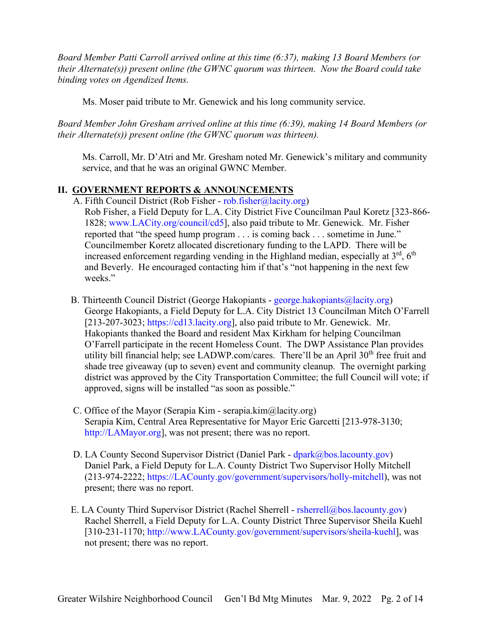*Board Member Patti Carroll arrived online at this time (6:37), making 13 Board Members (or their Alternate(s)) present online (the GWNC quorum was thirteen. Now the Board could take binding votes on Agendized Items.*

Ms. Moser paid tribute to Mr. Genewick and his long community service.

*Board Member John Gresham arrived online at this time (6:39), making 14 Board Members (or their Alternate(s)) present online (the GWNC quorum was thirteen).*

Ms. Carroll, Mr. D'Atri and Mr. Gresham noted Mr. Genewick's military and community service, and that he was an original GWNC Member.

### **II. GOVERNMENT REPORTS & ANNOUNCEMENTS**

A. Fifth Council District (Rob Fisher - [rob.fisher@lacity.org\)](mailto:rob.fisher@lacity.org) Rob Fisher, a Field Deputy for L.A. City District Five Councilman Paul Koretz [323-866- 1828; [www.LACity.org/council/cd5\]](http://www.lacity.org/council/cd5), also paid tribute to Mr. Genewick. Mr. Fisher reported that "the speed hump program . . . is coming back . . . sometime in June." Councilmember Koretz allocated discretionary funding to the LAPD. There will be

increased enforcement regarding vending in the Highland median, especially at  $3<sup>rd</sup>$ ,  $6<sup>th</sup>$ and Beverly. He encouraged contacting him if that's "not happening in the next few weeks."

- B. Thirteenth Council District (George Hakopiants george.hakopiants $(a)$ lacity.org) George Hakopiants, a Field Deputy for L.A. City District 13 Councilman Mitch O'Farrell [213-207-3023; [https://cd13.lacity.org\]](https://cd13.lacity.org/), also paid tribute to Mr. Genewick. Mr. Hakopiants thanked the Board and resident Max Kirkham for helping Councilman O'Farrell participate in the recent Homeless Count. The DWP Assistance Plan provides utility bill financial help; see LADWP.com/cares. There'll be an April  $30<sup>th</sup>$  free fruit and shade tree giveaway (up to seven) event and community cleanup. The overnight parking district was approved by the City Transportation Committee; the full Council will vote; if approved, signs will be installed "as soon as possible."
- C. Office of the Mayor (Serapia Kim serapia.kim@lacity.org) Serapia Kim, Central Area Representative for Mayor Eric Garcetti [213-978-3130; [http://LAMayor.org\]](http://lamayor.org/), was not present; there was no report.
- D. LA County Second Supervisor District (Daniel Park [dpark@bos.lacounty.gov\)](mailto:dpark@bos.lacounty.gov) Daniel Park, a Field Deputy for L.A. County District Two Supervisor Holly Mitchell (213-974-2222; [https://LACounty.gov/government/supervisors/holly-mitchell\)](https://lacounty.gov/government/supervisors/holly-mitchell), was not present; there was no report.
- E. LA County Third Supervisor District (Rachel Sherrell [rsherrell@bos.lacounty.gov\)](mailto:rsherrell@bos.lacounty.gov) Rachel Sherrell, a Field Deputy for L.A. County District Three Supervisor Sheila Kuehl [310-231-1170; [http://www.LACounty.gov/government/supervisors/sheila-kuehl\]](http://www.lacounty.gov/government/supervisors/sheila-kuehl), was not present; there was no report.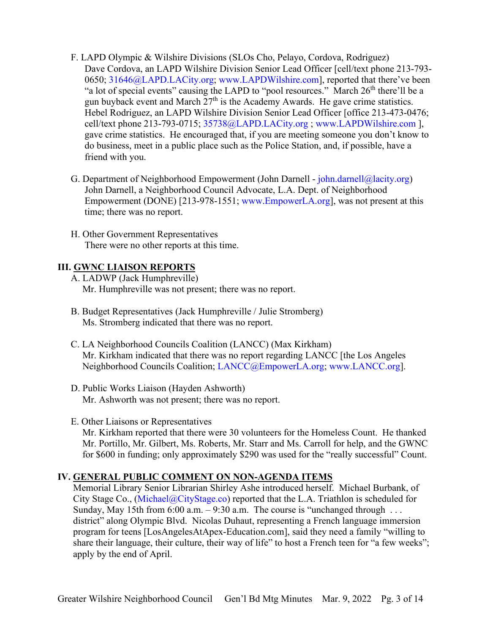- F. LAPD Olympic & Wilshire Divisions (SLOs Cho, Pelayo, Cordova, Rodriguez) Dave Cordova, an LAPD Wilshire Division Senior Lead Officer [cell/text phone 213-793- 0650; [31646@LAPD.LACity.org;](mailto:31646@LAPD.LACity.org) [www.LAPDWilshire.com\]](http://www.lapdwilshire.com/), reported that there've been "a lot of special events" causing the LAPD to "pool resources." March  $26<sup>th</sup>$  there'll be a gun buyback event and March  $27<sup>th</sup>$  is the Academy Awards. He gave crime statistics. Hebel Rodriguez, an LAPD Wilshire Division Senior Lead Officer [office 213-473-0476; cell/text phone 213-793-0715; [35738@LAPD.LACity.org](mailto:35738@LAPD.LACity.org) ; [www.LAPDWilshire.com](http://www.lapdwilshire.com/) ], gave crime statistics. He encouraged that, if you are meeting someone you don't know to do business, meet in a public place such as the Police Station, and, if possible, have a friend with you.
- G. Department of Neighborhood Empowerment (John Darnell [john.darnell@lacity.org\)](mailto:john.darnell@lacity.org) John Darnell, a Neighborhood Council Advocate, L.A. Dept. of Neighborhood Empowerment (DONE) [213-978-1551; [www.EmpowerLA.org\]](http://www.empowerla.org/), was not present at this time; there was no report.
- H. Other Government Representatives There were no other reports at this time.

## **III. GWNC LIAISON REPORTS**

A. LADWP (Jack Humphreville) Mr. Humphreville was not present; there was no report.

- B. Budget Representatives (Jack Humphreville / Julie Stromberg) Ms. Stromberg indicated that there was no report.
- C. LA Neighborhood Councils Coalition (LANCC) (Max Kirkham) Mr. Kirkham indicated that there was no report regarding LANCC [the Los Angeles Neighborhood Councils Coalition; [LANCC@EmpowerLA.org;](mailto:LANCC@EmpowerLA.org) [www.LANCC.org\]](http://www.lancc.org/).
- D. Public Works Liaison (Hayden Ashworth) Mr. Ashworth was not present; there was no report.
- E. Other Liaisons or Representatives

Mr. Kirkham reported that there were 30 volunteers for the Homeless Count. He thanked Mr. Portillo, Mr. Gilbert, Ms. Roberts, Mr. Starr and Ms. Carroll for help, and the GWNC for \$600 in funding; only approximately \$290 was used for the "really successful" Count.

# **IV. GENERAL PUBLIC COMMENT ON NON-AGENDA ITEMS**

Memorial Library Senior Librarian Shirley Ashe introduced herself. Michael Burbank, of City Stage Co., [\(Michael@CityStage.co\)](mailto:Michael@CityStage.co) reported that the L.A. Triathlon is scheduled for Sunday, May 15th from  $6:00$  a.m.  $-9:30$  a.m. The course is "unchanged through ... district" along Olympic Blvd. Nicolas Duhaut, representing a French language immersion program for teens [LosAngelesAtApex-Education.com], said they need a family "willing to share their language, their culture, their way of life" to host a French teen for "a few weeks"; apply by the end of April.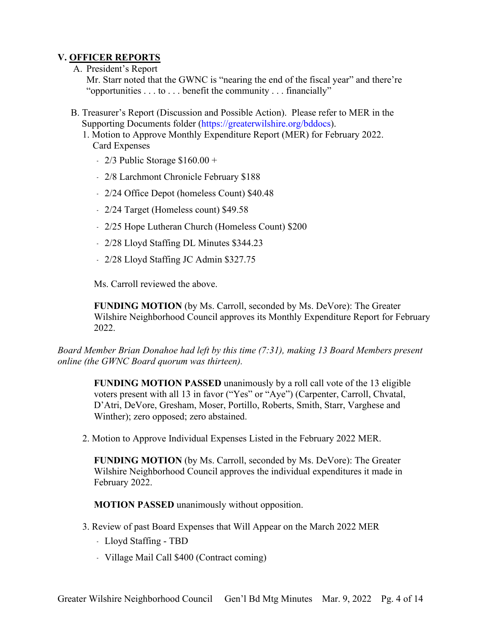# **V. OFFICER REPORTS**

#### A. President's Report

Mr. Starr noted that the GWNC is "nearing the end of the fiscal year" and there're "opportunities . . . to . . . benefit the community . . . financially"

- B. Treasurer's Report (Discussion and Possible Action). Please refer to MER in the Supporting Documents folder [\(https://greaterwilshire.org/bddocs\)](https://greaterwilshire.org/bddocs).
	- 1. Motion to Approve Monthly Expenditure Report (MER) for February 2022. Card Expenses
		- $-2/3$  Public Storage \$160.00 +
		- ﹣ 2/8 Larchmont Chronicle February \$188
		- ﹣ 2/24 Office Depot (homeless Count) \$40.48
		- ﹣ 2/24 Target (Homeless count) \$49.58
		- 2/25 Hope Lutheran Church (Homeless Count) \$200
		- 2/28 Lloyd Staffing DL Minutes \$344.23
		- ﹣ 2/28 Lloyd Staffing JC Admin \$327.75

Ms. Carroll reviewed the above.

**FUNDING MOTION** (by Ms. Carroll, seconded by Ms. DeVore): The Greater Wilshire Neighborhood Council approves its Monthly Expenditure Report for February 2022.

*Board Member Brian Donahoe had left by this time (7:31), making 13 Board Members present online (the GWNC Board quorum was thirteen).*

**FUNDING MOTION PASSED** unanimously by a roll call vote of the 13 eligible voters present with all 13 in favor ("Yes" or "Aye") (Carpenter, Carroll, Chvatal, D'Atri, DeVore, Gresham, Moser, Portillo, Roberts, Smith, Starr, Varghese and Winther); zero opposed; zero abstained.

2. Motion to Approve Individual Expenses Listed in the February 2022 MER.

**FUNDING MOTION** (by Ms. Carroll, seconded by Ms. DeVore): The Greater Wilshire Neighborhood Council approves the individual expenditures it made in February 2022.

**MOTION PASSED** unanimously without opposition.

- 3. Review of past Board Expenses that Will Appear on the March 2022 MER
	- ﹣ Lloyd Staffing TBD
	- ﹣ Village Mail Call \$400 (Contract coming)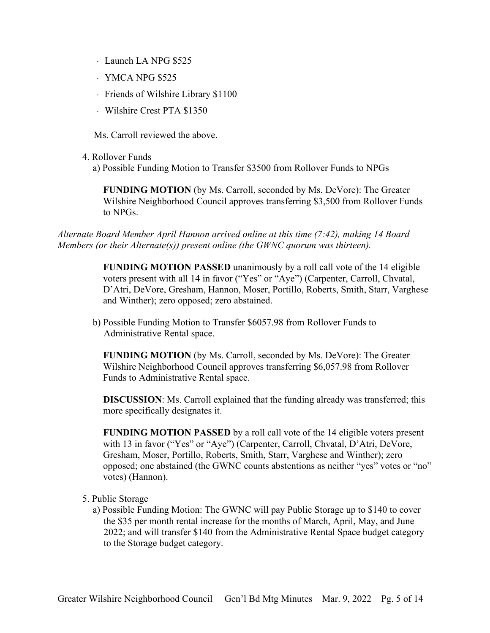- Launch LA NPG \$525
- ﹣ YMCA NPG \$525
- ﹣ Friends of Wilshire Library \$1100
- ﹣ Wilshire Crest PTA \$1350

Ms. Carroll reviewed the above.

- 4. Rollover Funds
	- a) Possible Funding Motion to Transfer \$3500 from Rollover Funds to NPGs

**FUNDING MOTION** (by Ms. Carroll, seconded by Ms. DeVore): The Greater Wilshire Neighborhood Council approves transferring \$3,500 from Rollover Funds to NPGs.

*Alternate Board Member April Hannon arrived online at this time (7:42), making 14 Board Members (or their Alternate(s)) present online (the GWNC quorum was thirteen).*

> **FUNDING MOTION PASSED** unanimously by a roll call vote of the 14 eligible voters present with all 14 in favor ("Yes" or "Aye") (Carpenter, Carroll, Chvatal, D'Atri, DeVore, Gresham, Hannon, Moser, Portillo, Roberts, Smith, Starr, Varghese and Winther); zero opposed; zero abstained.

b) Possible Funding Motion to Transfer \$6057.98 from Rollover Funds to Administrative Rental space.

**FUNDING MOTION** (by Ms. Carroll, seconded by Ms. DeVore): The Greater Wilshire Neighborhood Council approves transferring \$6,057.98 from Rollover Funds to Administrative Rental space.

**DISCUSSION**: Ms. Carroll explained that the funding already was transferred; this more specifically designates it.

**FUNDING MOTION PASSED** by a roll call vote of the 14 eligible voters present with 13 in favor ("Yes" or "Aye") (Carpenter, Carroll, Chvatal, D'Atri, DeVore, Gresham, Moser, Portillo, Roberts, Smith, Starr, Varghese and Winther); zero opposed; one abstained (the GWNC counts abstentions as neither "yes" votes or "no" votes) (Hannon).

- 5. Public Storage
	- a) Possible Funding Motion: The GWNC will pay Public Storage up to \$140 to cover the \$35 per month rental increase for the months of March, April, May, and June 2022; and will transfer \$140 from the Administrative Rental Space budget category to the Storage budget category.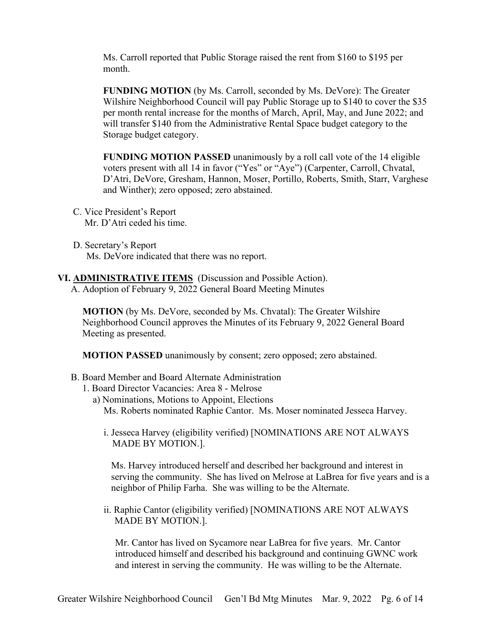Ms. Carroll reported that Public Storage raised the rent from \$160 to \$195 per month.

**FUNDING MOTION** (by Ms. Carroll, seconded by Ms. DeVore): The Greater Wilshire Neighborhood Council will pay Public Storage up to \$140 to cover the \$35 per month rental increase for the months of March, April, May, and June 2022; and will transfer \$140 from the Administrative Rental Space budget category to the Storage budget category.

**FUNDING MOTION PASSED** unanimously by a roll call vote of the 14 eligible voters present with all 14 in favor ("Yes" or "Aye") (Carpenter, Carroll, Chvatal, D'Atri, DeVore, Gresham, Hannon, Moser, Portillo, Roberts, Smith, Starr, Varghese and Winther); zero opposed; zero abstained.

- C. Vice President's Report Mr. D'Atri ceded his time.
- D. Secretary's Report Ms. DeVore indicated that there was no report.
- **VI. ADMINISTRATIVE ITEMS** (Discussion and Possible Action).
	- A. Adoption of February 9, 2022 General Board Meeting Minutes

**MOTION** (by Ms. DeVore, seconded by Ms. Chvatal): The Greater Wilshire Neighborhood Council approves the Minutes of its February 9, 2022 General Board Meeting as presented.

**MOTION PASSED** unanimously by consent; zero opposed; zero abstained.

- B. Board Member and Board Alternate Administration
	- 1. Board Director Vacancies: Area 8 Melrose
		- a) Nominations, Motions to Appoint, Elections Ms. Roberts nominated Raphie Cantor. Ms. Moser nominated Jesseca Harvey.
			- i. Jesseca Harvey (eligibility verified) [NOMINATIONS ARE NOT ALWAYS MADE BY MOTION.].

Ms. Harvey introduced herself and described her background and interest in serving the community. She has lived on Melrose at LaBrea for five years and is a neighbor of Philip Farha. She was willing to be the Alternate.

ii. Raphie Cantor (eligibility verified) [NOMINATIONS ARE NOT ALWAYS MADE BY MOTION.].

Mr. Cantor has lived on Sycamore near LaBrea for five years. Mr. Cantor introduced himself and described his background and continuing GWNC work and interest in serving the community. He was willing to be the Alternate.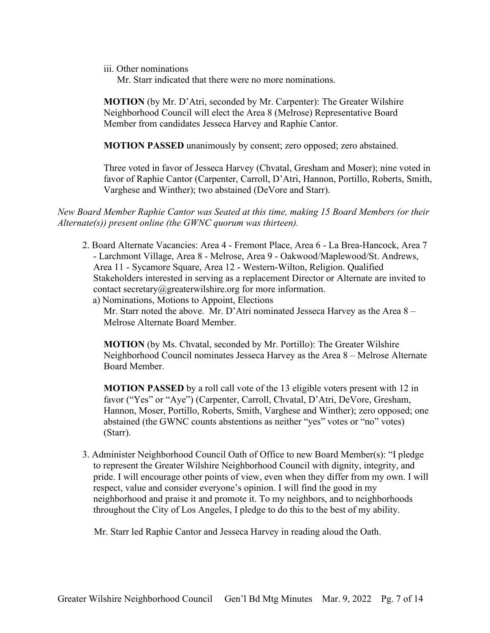iii. Other nominations

Mr. Starr indicated that there were no more nominations.

**MOTION** (by Mr. D'Atri, seconded by Mr. Carpenter): The Greater Wilshire Neighborhood Council will elect the Area 8 (Melrose) Representative Board Member from candidates Jesseca Harvey and Raphie Cantor.

**MOTION PASSED** unanimously by consent; zero opposed; zero abstained.

Three voted in favor of Jesseca Harvey (Chvatal, Gresham and Moser); nine voted in favor of Raphie Cantor (Carpenter, Carroll, D'Atri, Hannon, Portillo, Roberts, Smith, Varghese and Winther); two abstained (DeVore and Starr).

*New Board Member Raphie Cantor was Seated at this time, making 15 Board Members (or their Alternate(s)) present online (the GWNC quorum was thirteen).*

- 2. Board Alternate Vacancies: Area 4 Fremont Place, Area 6 La Brea-Hancock, Area 7 - Larchmont Village, Area 8 - Melrose, Area 9 - Oakwood/Maplewood/St. Andrews, Area 11 - Sycamore Square, Area 12 - Western-Wilton, Religion. Qualified Stakeholders interested in serving as a replacement Director or Alternate are invited to contact secretary@greaterwilshire.org for more information.
	- a) Nominations, Motions to Appoint, Elections

Mr. Starr noted the above. Mr. D'Atri nominated Jesseca Harvey as the Area 8 – Melrose Alternate Board Member.

**MOTION** (by Ms. Chvatal, seconded by Mr. Portillo): The Greater Wilshire Neighborhood Council nominates Jesseca Harvey as the Area 8 – Melrose Alternate Board Member.

**MOTION PASSED** by a roll call vote of the 13 eligible voters present with 12 in favor ("Yes" or "Aye") (Carpenter, Carroll, Chvatal, D'Atri, DeVore, Gresham, Hannon, Moser, Portillo, Roberts, Smith, Varghese and Winther); zero opposed; one abstained (the GWNC counts abstentions as neither "yes" votes or "no" votes) (Starr).

3. Administer Neighborhood Council Oath of Office to new Board Member(s): "I pledge to represent the Greater Wilshire Neighborhood Council with dignity, integrity, and pride. I will encourage other points of view, even when they differ from my own. I will respect, value and consider everyone's opinion. I will find the good in my neighborhood and praise it and promote it. To my neighbors, and to neighborhoods throughout the City of Los Angeles, I pledge to do this to the best of my ability.

Mr. Starr led Raphie Cantor and Jesseca Harvey in reading aloud the Oath.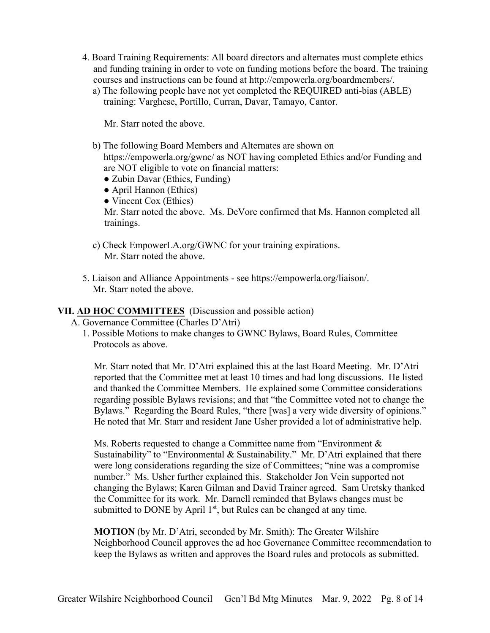- 4. Board Training Requirements: All board directors and alternates must complete ethics and funding training in order to vote on funding motions before the board. The training courses and instructions can be found at http://empowerla.org/boardmembers/.
	- a) The following people have not yet completed the REQUIRED anti-bias (ABLE) training: Varghese, Portillo, Curran, Davar, Tamayo, Cantor.

Mr. Starr noted the above.

- b) The following Board Members and Alternates are shown on https://empowerla.org/gwnc/ as NOT having completed Ethics and/or Funding and are NOT eligible to vote on financial matters:
	- Zubin Davar (Ethics, Funding)
	- April Hannon (Ethics)
	- Vincent Cox (Ethics)

Mr. Starr noted the above. Ms. DeVore confirmed that Ms. Hannon completed all trainings.

- c) Check EmpowerLA.org/GWNC for your training expirations. Mr. Starr noted the above.
- 5. Liaison and Alliance Appointments see https://empowerla.org/liaison/. Mr. Starr noted the above.

#### **VII. AD HOC COMMITTEES** (Discussion and possible action)

A. Governance Committee (Charles D'Atri)

1. Possible Motions to make changes to GWNC Bylaws, Board Rules, Committee Protocols as above.

Mr. Starr noted that Mr. D'Atri explained this at the last Board Meeting. Mr. D'Atri reported that the Committee met at least 10 times and had long discussions. He listed and thanked the Committee Members. He explained some Committee considerations regarding possible Bylaws revisions; and that "the Committee voted not to change the Bylaws." Regarding the Board Rules, "there [was] a very wide diversity of opinions." He noted that Mr. Starr and resident Jane Usher provided a lot of administrative help.

Ms. Roberts requested to change a Committee name from "Environment & Sustainability" to "Environmental & Sustainability." Mr. D'Atri explained that there were long considerations regarding the size of Committees; "nine was a compromise number." Ms. Usher further explained this. Stakeholder Jon Vein supported not changing the Bylaws; Karen Gilman and David Trainer agreed. Sam Uretsky thanked the Committee for its work. Mr. Darnell reminded that Bylaws changes must be submitted to DONE by April  $1<sup>st</sup>$ , but Rules can be changed at any time.

**MOTION** (by Mr. D'Atri, seconded by Mr. Smith): The Greater Wilshire Neighborhood Council approves the ad hoc Governance Committee recommendation to keep the Bylaws as written and approves the Board rules and protocols as submitted.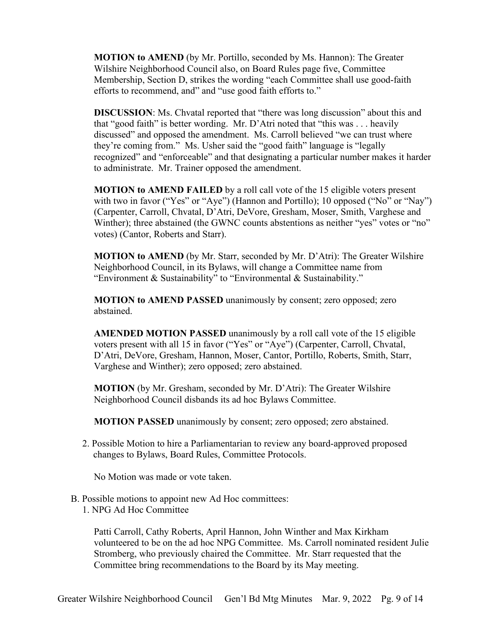**MOTION to AMEND** (by Mr. Portillo, seconded by Ms. Hannon): The Greater Wilshire Neighborhood Council also, on Board Rules page five, Committee Membership, Section D, strikes the wording "each Committee shall use good-faith efforts to recommend, and" and "use good faith efforts to."

**DISCUSSION**: Ms. Chvatal reported that "there was long discussion" about this and that "good faith" is better wording. Mr. D'Atri noted that "this was . . . heavily discussed" and opposed the amendment. Ms. Carroll believed "we can trust where they're coming from." Ms. Usher said the "good faith" language is "legally recognized" and "enforceable" and that designating a particular number makes it harder to administrate. Mr. Trainer opposed the amendment.

**MOTION to AMEND FAILED** by a roll call vote of the 15 eligible voters present with two in favor ("Yes" or "Aye") (Hannon and Portillo); 10 opposed ("No" or "Nay") (Carpenter, Carroll, Chvatal, D'Atri, DeVore, Gresham, Moser, Smith, Varghese and Winther); three abstained (the GWNC counts abstentions as neither "yes" votes or "no" votes) (Cantor, Roberts and Starr).

**MOTION to AMEND** (by Mr. Starr, seconded by Mr. D'Atri): The Greater Wilshire Neighborhood Council, in its Bylaws, will change a Committee name from "Environment & Sustainability" to "Environmental & Sustainability."

**MOTION to AMEND PASSED** unanimously by consent; zero opposed; zero abstained.

**AMENDED MOTION PASSED** unanimously by a roll call vote of the 15 eligible voters present with all 15 in favor ("Yes" or "Aye") (Carpenter, Carroll, Chvatal, D'Atri, DeVore, Gresham, Hannon, Moser, Cantor, Portillo, Roberts, Smith, Starr, Varghese and Winther); zero opposed; zero abstained.

**MOTION** (by Mr. Gresham, seconded by Mr. D'Atri): The Greater Wilshire Neighborhood Council disbands its ad hoc Bylaws Committee.

**MOTION PASSED** unanimously by consent; zero opposed; zero abstained.

2. Possible Motion to hire a Parliamentarian to review any board-approved proposed changes to Bylaws, Board Rules, Committee Protocols.

No Motion was made or vote taken.

- B. Possible motions to appoint new Ad Hoc committees:
	- 1. NPG Ad Hoc Committee

Patti Carroll, Cathy Roberts, April Hannon, John Winther and Max Kirkham volunteered to be on the ad hoc NPG Committee. Ms. Carroll nominated resident Julie Stromberg, who previously chaired the Committee. Mr. Starr requested that the Committee bring recommendations to the Board by its May meeting.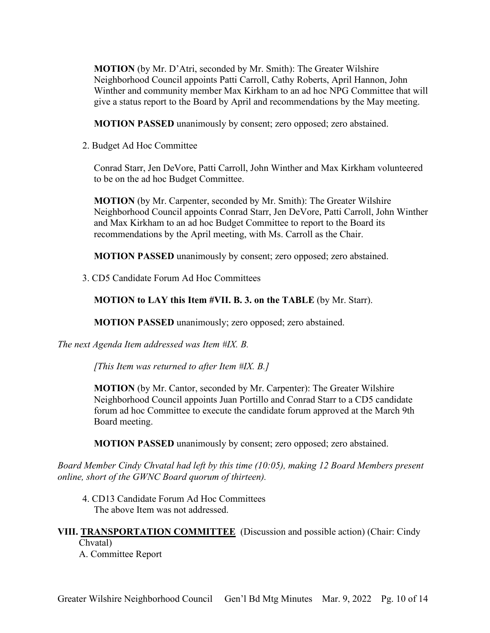**MOTION** (by Mr. D'Atri, seconded by Mr. Smith): The Greater Wilshire Neighborhood Council appoints Patti Carroll, Cathy Roberts, April Hannon, John Winther and community member Max Kirkham to an ad hoc NPG Committee that will give a status report to the Board by April and recommendations by the May meeting.

**MOTION PASSED** unanimously by consent; zero opposed; zero abstained.

2. Budget Ad Hoc Committee

Conrad Starr, Jen DeVore, Patti Carroll, John Winther and Max Kirkham volunteered to be on the ad hoc Budget Committee.

**MOTION** (by Mr. Carpenter, seconded by Mr. Smith): The Greater Wilshire Neighborhood Council appoints Conrad Starr, Jen DeVore, Patti Carroll, John Winther and Max Kirkham to an ad hoc Budget Committee to report to the Board its recommendations by the April meeting, with Ms. Carroll as the Chair.

**MOTION PASSED** unanimously by consent; zero opposed; zero abstained.

3. CD5 Candidate Forum Ad Hoc Committees

**MOTION to LAY this Item #VII. B. 3. on the TABLE** (by Mr. Starr).

**MOTION PASSED** unanimously; zero opposed; zero abstained.

*The next Agenda Item addressed was Item #IX. B.*

*[This Item was returned to after Item #IX. B.]*

**MOTION** (by Mr. Cantor, seconded by Mr. Carpenter): The Greater Wilshire Neighborhood Council appoints Juan Portillo and Conrad Starr to a CD5 candidate forum ad hoc Committee to execute the candidate forum approved at the March 9th Board meeting.

**MOTION PASSED** unanimously by consent; zero opposed; zero abstained.

*Board Member Cindy Chvatal had left by this time (10:05), making 12 Board Members present online, short of the GWNC Board quorum of thirteen).*

4. CD13 Candidate Forum Ad Hoc Committees The above Item was not addressed.

**VIII. TRANSPORTATION COMMITTEE** (Discussion and possible action) (Chair: Cindy Chvatal)

A. Committee Report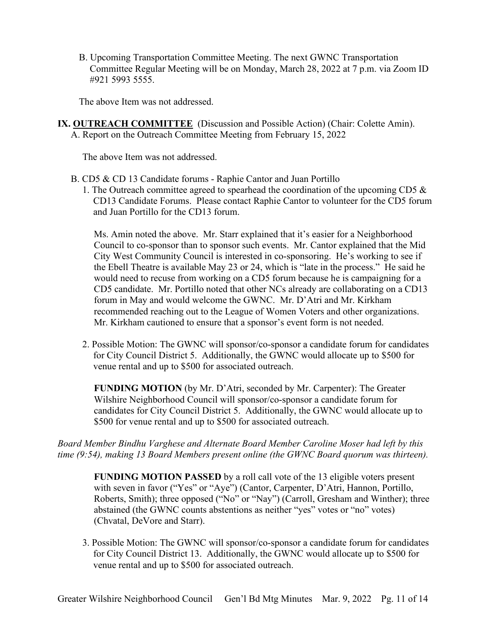B. Upcoming Transportation Committee Meeting. The next GWNC Transportation Committee Regular Meeting will be on Monday, March 28, 2022 at 7 p.m. via Zoom ID #921 5993 5555.

The above Item was not addressed.

**IX. OUTREACH COMMITTEE** (Discussion and Possible Action) (Chair: Colette Amin). A. Report on the Outreach Committee Meeting from February 15, 2022

The above Item was not addressed.

- B. CD5 & CD 13 Candidate forums Raphie Cantor and Juan Portillo
	- 1. The Outreach committee agreed to spearhead the coordination of the upcoming CD5 & CD13 Candidate Forums. Please contact Raphie Cantor to volunteer for the CD5 forum and Juan Portillo for the CD13 forum.

Ms. Amin noted the above. Mr. Starr explained that it's easier for a Neighborhood Council to co-sponsor than to sponsor such events. Mr. Cantor explained that the Mid City West Community Council is interested in co-sponsoring. He's working to see if the Ebell Theatre is available May 23 or 24, which is "late in the process." He said he would need to recuse from working on a CD5 forum because he is campaigning for a CD5 candidate. Mr. Portillo noted that other NCs already are collaborating on a CD13 forum in May and would welcome the GWNC. Mr. D'Atri and Mr. Kirkham recommended reaching out to the League of Women Voters and other organizations. Mr. Kirkham cautioned to ensure that a sponsor's event form is not needed.

2. Possible Motion: The GWNC will sponsor/co-sponsor a candidate forum for candidates for City Council District 5. Additionally, the GWNC would allocate up to \$500 for venue rental and up to \$500 for associated outreach.

**FUNDING MOTION** (by Mr. D'Atri, seconded by Mr. Carpenter): The Greater Wilshire Neighborhood Council will sponsor/co-sponsor a candidate forum for candidates for City Council District 5. Additionally, the GWNC would allocate up to \$500 for venue rental and up to \$500 for associated outreach.

*Board Member Bindhu Varghese and Alternate Board Member Caroline Moser had left by this time (9:54), making 13 Board Members present online (the GWNC Board quorum was thirteen).*

**FUNDING MOTION PASSED** by a roll call vote of the 13 eligible voters present with seven in favor ("Yes" or "Aye") (Cantor, Carpenter, D'Atri, Hannon, Portillo, Roberts, Smith); three opposed ("No" or "Nay") (Carroll, Gresham and Winther); three abstained (the GWNC counts abstentions as neither "yes" votes or "no" votes) (Chvatal, DeVore and Starr).

3. Possible Motion: The GWNC will sponsor/co-sponsor a candidate forum for candidates for City Council District 13. Additionally, the GWNC would allocate up to \$500 for venue rental and up to \$500 for associated outreach.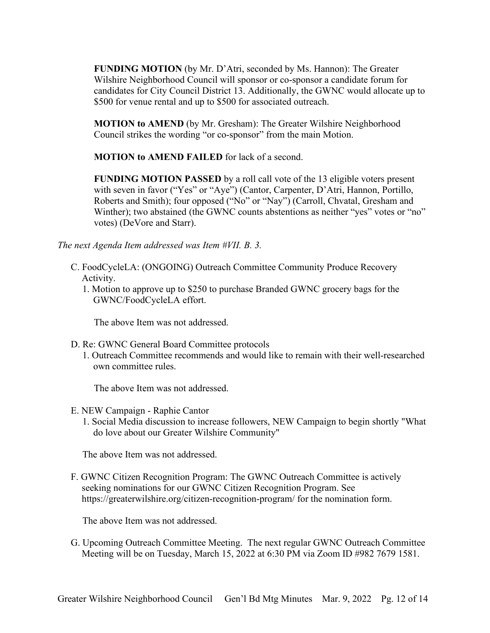**FUNDING MOTION** (by Mr. D'Atri, seconded by Ms. Hannon): The Greater Wilshire Neighborhood Council will sponsor or co-sponsor a candidate forum for candidates for City Council District 13. Additionally, the GWNC would allocate up to \$500 for venue rental and up to \$500 for associated outreach.

**MOTION to AMEND** (by Mr. Gresham): The Greater Wilshire Neighborhood Council strikes the wording "or co-sponsor" from the main Motion.

**MOTION to AMEND FAILED** for lack of a second.

**FUNDING MOTION PASSED** by a roll call vote of the 13 eligible voters present with seven in favor ("Yes" or "Aye") (Cantor, Carpenter, D'Atri, Hannon, Portillo, Roberts and Smith); four opposed ("No" or "Nay") (Carroll, Chvatal, Gresham and Winther); two abstained (the GWNC counts abstentions as neither "yes" votes or "no" votes) (DeVore and Starr).

*The next Agenda Item addressed was Item #VII. B. 3.*

- C. FoodCycleLA: (ONGOING) Outreach Committee Community Produce Recovery Activity.
	- 1. Motion to approve up to \$250 to purchase Branded GWNC grocery bags for the GWNC/FoodCycleLA effort.

The above Item was not addressed.

- D. Re: GWNC General Board Committee protocols
	- 1. Outreach Committee recommends and would like to remain with their well-researched own committee rules.

The above Item was not addressed.

- E. NEW Campaign Raphie Cantor
	- 1. Social Media discussion to increase followers, NEW Campaign to begin shortly "What do love about our Greater Wilshire Community"

The above Item was not addressed.

F. GWNC Citizen Recognition Program: The GWNC Outreach Committee is actively seeking nominations for our GWNC Citizen Recognition Program. See https://greaterwilshire.org/citizen-recognition-program/ for the nomination form.

The above Item was not addressed.

G. Upcoming Outreach Committee Meeting. The next regular GWNC Outreach Committee Meeting will be on Tuesday, March 15, 2022 at 6:30 PM via Zoom ID #982 7679 1581.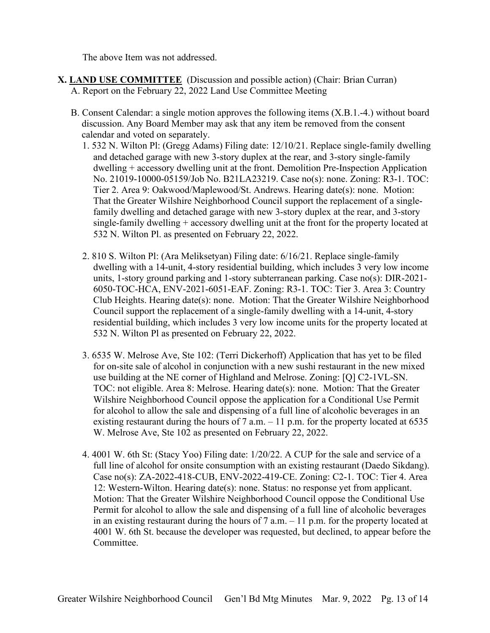The above Item was not addressed.

- **X. LAND USE COMMITTEE** (Discussion and possible action) (Chair: Brian Curran) A. Report on the February 22, 2022 Land Use Committee Meeting
	- B. Consent Calendar: a single motion approves the following items (X.B.1.-4.) without board discussion. Any Board Member may ask that any item be removed from the consent calendar and voted on separately.
		- 1. 532 N. Wilton Pl: (Gregg Adams) Filing date: 12/10/21. Replace single-family dwelling and detached garage with new 3-story duplex at the rear, and 3-story single-family dwelling + accessory dwelling unit at the front. Demolition Pre-Inspection Application No. 21019-10000-05159/Job No. B21LA23219. Case no(s): none. Zoning: R3-1. TOC: Tier 2. Area 9: Oakwood/Maplewood/St. Andrews. Hearing date(s): none. Motion: That the Greater Wilshire Neighborhood Council support the replacement of a singlefamily dwelling and detached garage with new 3-story duplex at the rear, and 3-story single-family dwelling + accessory dwelling unit at the front for the property located at 532 N. Wilton Pl. as presented on February 22, 2022.
		- 2. 810 S. Wilton Pl: (Ara Meliksetyan) Filing date: 6/16/21. Replace single-family dwelling with a 14-unit, 4-story residential building, which includes 3 very low income units, 1-story ground parking and 1-story subterranean parking. Case no(s): DIR-2021- 6050-TOC-HCA, ENV-2021-6051-EAF. Zoning: R3-1. TOC: Tier 3. Area 3: Country Club Heights. Hearing date(s): none. Motion: That the Greater Wilshire Neighborhood Council support the replacement of a single-family dwelling with a 14-unit, 4-story residential building, which includes 3 very low income units for the property located at 532 N. Wilton Pl as presented on February 22, 2022.
		- 3. 6535 W. Melrose Ave, Ste 102: (Terri Dickerhoff) Application that has yet to be filed for on-site sale of alcohol in conjunction with a new sushi restaurant in the new mixed use building at the NE corner of Highland and Melrose. Zoning: [Q] C2-1VL-SN. TOC: not eligible. Area 8: Melrose. Hearing date(s): none. Motion: That the Greater Wilshire Neighborhood Council oppose the application for a Conditional Use Permit for alcohol to allow the sale and dispensing of a full line of alcoholic beverages in an existing restaurant during the hours of  $7$  a.m.  $-11$  p.m. for the property located at 6535 W. Melrose Ave, Ste 102 as presented on February 22, 2022.
		- 4. 4001 W. 6th St: (Stacy Yoo) Filing date: 1/20/22. A CUP for the sale and service of a full line of alcohol for onsite consumption with an existing restaurant (Daedo Sikdang). Case no(s): ZA-2022-418-CUB, ENV-2022-419-CE. Zoning: C2-1. TOC: Tier 4. Area 12: Western-Wilton. Hearing date(s): none. Status: no response yet from applicant. Motion: That the Greater Wilshire Neighborhood Council oppose the Conditional Use Permit for alcohol to allow the sale and dispensing of a full line of alcoholic beverages in an existing restaurant during the hours of  $7$  a.m.  $-11$  p.m. for the property located at 4001 W. 6th St. because the developer was requested, but declined, to appear before the Committee.